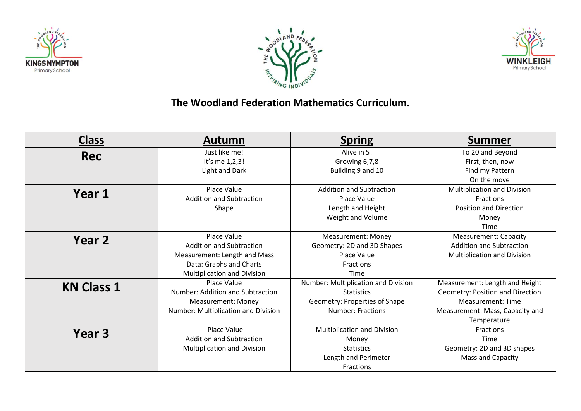





## **The Woodland Federation Mathematics Curriculum.**

| <b>Class</b>      | Autumn                              | <b>Spring</b>                       | Summer                           |
|-------------------|-------------------------------------|-------------------------------------|----------------------------------|
| <b>Rec</b>        | Just like me!                       | Alive in 5!                         | To 20 and Beyond                 |
|                   | It's me 1,2,3!                      | Growing 6,7,8                       | First, then, now                 |
|                   | Light and Dark                      | Building 9 and 10                   | Find my Pattern                  |
|                   |                                     |                                     | On the move                      |
| Year 1            | Place Value                         | <b>Addition and Subtraction</b>     | Multiplication and Division      |
|                   | <b>Addition and Subtraction</b>     | Place Value                         | <b>Fractions</b>                 |
|                   | Shape                               | Length and Height                   | <b>Position and Direction</b>    |
|                   |                                     | Weight and Volume                   | Money                            |
|                   |                                     |                                     | Time                             |
| Year 2            | Place Value                         | <b>Measurement: Money</b>           | <b>Measurement: Capacity</b>     |
|                   | <b>Addition and Subtraction</b>     | Geometry: 2D and 3D Shapes          | <b>Addition and Subtraction</b>  |
|                   | Measurement: Length and Mass        | Place Value                         | Multiplication and Division      |
|                   | Data: Graphs and Charts             | <b>Fractions</b>                    |                                  |
|                   | Multiplication and Division         | <b>Time</b>                         |                                  |
| <b>KN Class 1</b> | Place Value                         | Number: Multiplication and Division | Measurement: Length and Height   |
|                   | Number: Addition and Subtraction    | <b>Statistics</b>                   | Geometry: Position and Direction |
|                   | <b>Measurement: Money</b>           | Geometry: Properties of Shape       | Measurement: Time                |
|                   | Number: Multiplication and Division | <b>Number: Fractions</b>            | Measurement: Mass, Capacity and  |
|                   |                                     |                                     | Temperature                      |
| Year <sub>3</sub> | <b>Place Value</b>                  | <b>Multiplication and Division</b>  | Fractions                        |
|                   | <b>Addition and Subtraction</b>     | Money                               | Time                             |
|                   | Multiplication and Division         | <b>Statistics</b>                   | Geometry: 2D and 3D shapes       |
|                   |                                     | Length and Perimeter                | Mass and Capacity                |
|                   |                                     | <b>Fractions</b>                    |                                  |